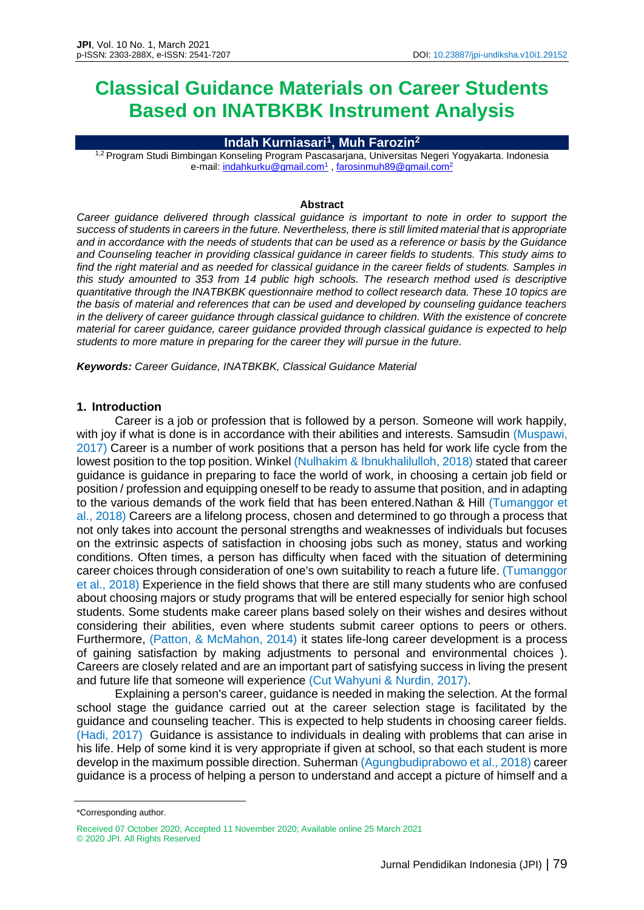# **Classical Guidance Materials on Career Students Based on INATBKBK Instrument Analysis**

## **Indah Kurniasari<sup>1</sup> , Muh Farozin<sup>2</sup>**

1,2 Program Studi Bimbingan Konseling Program Pascasarjana, Universitas Negeri Yogyakarta. Indonesia e-mail: <u>indahkurku@gmail.com<sup>1</sup> , farosinmuh89@gmail.com<sup>2</sup></u>

#### **Abstract**

*Career guidance delivered through classical guidance is important to note in order to support the success of students in careers in the future. Nevertheless, there is still limited material that is appropriate and in accordance with the needs of students that can be used as a reference or basis by the Guidance and Counseling teacher in providing classical guidance in career fields to students. This study aims to find the right material and as needed for classical guidance in the career fields of students. Samples in this study amounted to 353 from 14 public high schools. The research method used is descriptive quantitative through the INATBKBK questionnaire method to collect research data. These 10 topics are the basis of material and references that can be used and developed by counseling guidance teachers in the delivery of career guidance through classical guidance to children. With the existence of concrete material for career guidance, career guidance provided through classical guidance is expected to help students to more mature in preparing for the career they will pursue in the future.*

*Keywords: Career Guidance, INATBKBK, Classical Guidance Material*

#### **1. Introduction**

Career is a job or profession that is followed by a person. Someone will work happily, with joy if what is done is in accordance with their abilities and interests. Samsudin (Muspawi, 2017) Career is a number of work positions that a person has held for work life cycle from the lowest position to the top position. Winkel (Nulhakim & Ibnukhalilulloh, 2018) stated that career guidance is guidance in preparing to face the world of work, in choosing a certain job field or position / profession and equipping oneself to be ready to assume that position, and in adapting to the various demands of the work field that has been entered.Nathan & Hill (Tumanggor et al., 2018) Careers are a lifelong process, chosen and determined to go through a process that not only takes into account the personal strengths and weaknesses of individuals but focuses on the extrinsic aspects of satisfaction in choosing jobs such as money, status and working conditions. Often times, a person has difficulty when faced with the situation of determining career choices through consideration of one's own suitability to reach a future life. (Tumanggor et al., 2018) Experience in the field shows that there are still many students who are confused about choosing majors or study programs that will be entered especially for senior high school students. Some students make career plans based solely on their wishes and desires without considering their abilities, even where students submit career options to peers or others. Furthermore, (Patton, & McMahon, 2014) it states life-long career development is a process of gaining satisfaction by making adjustments to personal and environmental choices ). Careers are closely related and are an important part of satisfying success in living the present and future life that someone will experience (Cut Wahyuni & Nurdin, 2017).

Explaining a person's career, guidance is needed in making the selection. At the formal school stage the guidance carried out at the career selection stage is facilitated by the guidance and counseling teacher. This is expected to help students in choosing career fields. (Hadi, 2017) Guidance is assistance to individuals in dealing with problems that can arise in his life. Help of some kind it is very appropriate if given at school, so that each student is more develop in the maximum possible direction. Suherman (Agungbudiprabowo et al., 2018) career guidance is a process of helping a person to understand and accept a picture of himself and a

<sup>\*</sup>Corresponding author.

Received 07 October 2020; Accepted 11 November 2020; Available online 25 March 2021 © 2020 JPI. All Rights Reserved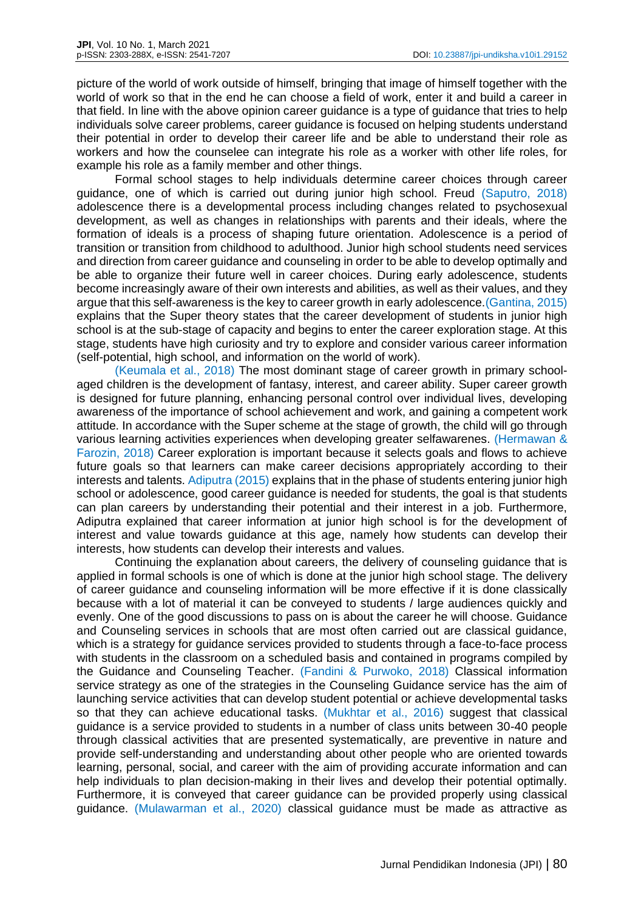picture of the world of work outside of himself, bringing that image of himself together with the world of work so that in the end he can choose a field of work, enter it and build a career in that field. In line with the above opinion career guidance is a type of guidance that tries to help individuals solve career problems, career guidance is focused on helping students understand their potential in order to develop their career life and be able to understand their role as workers and how the counselee can integrate his role as a worker with other life roles, for example his role as a family member and other things.

Formal school stages to help individuals determine career choices through career guidance, one of which is carried out during junior high school. Freud (Saputro, 2018) adolescence there is a developmental process including changes related to psychosexual development, as well as changes in relationships with parents and their ideals, where the formation of ideals is a process of shaping future orientation. Adolescence is a period of transition or transition from childhood to adulthood. Junior high school students need services and direction from career guidance and counseling in order to be able to develop optimally and be able to organize their future well in career choices. During early adolescence, students become increasingly aware of their own interests and abilities, as well as their values, and they argue that this self-awareness is the key to career growth in early adolescence.(Gantina, 2015) explains that the Super theory states that the career development of students in junior high school is at the sub-stage of capacity and begins to enter the career exploration stage. At this stage, students have high curiosity and try to explore and consider various career information (self-potential, high school, and information on the world of work).

(Keumala et al., 2018) The most dominant stage of career growth in primary schoolaged children is the development of fantasy, interest, and career ability. Super career growth is designed for future planning, enhancing personal control over individual lives, developing awareness of the importance of school achievement and work, and gaining a competent work attitude. In accordance with the Super scheme at the stage of growth, the child will go through various learning activities experiences when developing greater selfawarenes. (Hermawan & Farozin, 2018) Career exploration is important because it selects goals and flows to achieve future goals so that learners can make career decisions appropriately according to their interests and talents. Adiputra (2015) explains that in the phase of students entering junior high school or adolescence, good career guidance is needed for students, the goal is that students can plan careers by understanding their potential and their interest in a job. Furthermore, Adiputra explained that career information at junior high school is for the development of interest and value towards guidance at this age, namely how students can develop their interests, how students can develop their interests and values.

Continuing the explanation about careers, the delivery of counseling guidance that is applied in formal schools is one of which is done at the junior high school stage. The delivery of career guidance and counseling information will be more effective if it is done classically because with a lot of material it can be conveyed to students / large audiences quickly and evenly. One of the good discussions to pass on is about the career he will choose. Guidance and Counseling services in schools that are most often carried out are classical guidance, which is a strategy for guidance services provided to students through a face-to-face process with students in the classroom on a scheduled basis and contained in programs compiled by the Guidance and Counseling Teacher. (Fandini & Purwoko, 2018) Classical information service strategy as one of the strategies in the Counseling Guidance service has the aim of launching service activities that can develop student potential or achieve developmental tasks so that they can achieve educational tasks. (Mukhtar et al., 2016) suggest that classical guidance is a service provided to students in a number of class units between 30-40 people through classical activities that are presented systematically, are preventive in nature and provide self-understanding and understanding about other people who are oriented towards learning, personal, social, and career with the aim of providing accurate information and can help individuals to plan decision-making in their lives and develop their potential optimally. Furthermore, it is conveyed that career guidance can be provided properly using classical guidance. (Mulawarman et al., 2020) classical guidance must be made as attractive as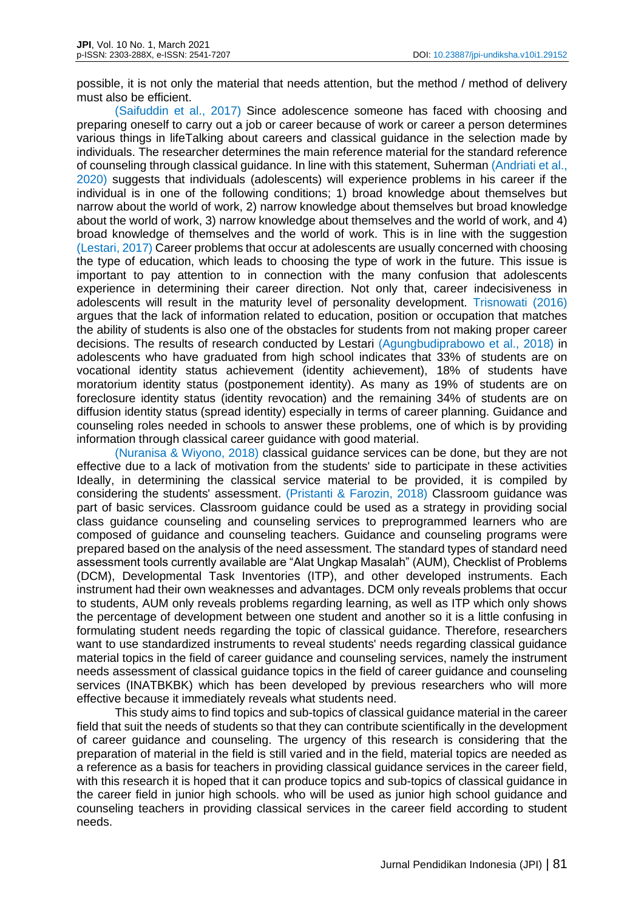possible, it is not only the material that needs attention, but the method / method of delivery must also be efficient.

(Saifuddin et al., 2017) Since adolescence someone has faced with choosing and preparing oneself to carry out a job or career because of work or career a person determines various things in lifeTalking about careers and classical guidance in the selection made by individuals. The researcher determines the main reference material for the standard reference of counseling through classical guidance. In line with this statement, Suherman (Andriati et al., 2020) suggests that individuals (adolescents) will experience problems in his career if the individual is in one of the following conditions; 1) broad knowledge about themselves but narrow about the world of work, 2) narrow knowledge about themselves but broad knowledge about the world of work, 3) narrow knowledge about themselves and the world of work, and 4) broad knowledge of themselves and the world of work. This is in line with the suggestion (Lestari, 2017) Career problems that occur at adolescents are usually concerned with choosing the type of education, which leads to choosing the type of work in the future. This issue is important to pay attention to in connection with the many confusion that adolescents experience in determining their career direction. Not only that, career indecisiveness in adolescents will result in the maturity level of personality development. Trisnowati (2016) argues that the lack of information related to education, position or occupation that matches the ability of students is also one of the obstacles for students from not making proper career decisions. The results of research conducted by Lestari (Agungbudiprabowo et al., 2018) in adolescents who have graduated from high school indicates that 33% of students are on vocational identity status achievement (identity achievement), 18% of students have moratorium identity status (postponement identity). As many as 19% of students are on foreclosure identity status (identity revocation) and the remaining 34% of students are on diffusion identity status (spread identity) especially in terms of career planning. Guidance and counseling roles needed in schools to answer these problems, one of which is by providing information through classical career guidance with good material.

(Nuranisa & Wiyono, 2018) classical guidance services can be done, but they are not effective due to a lack of motivation from the students' side to participate in these activities Ideally, in determining the classical service material to be provided, it is compiled by considering the students' assessment. (Pristanti & Farozin, 2018) Classroom guidance was part of basic services. Classroom guidance could be used as a strategy in providing social class guidance counseling and counseling services to preprogrammed learners who are composed of guidance and counseling teachers. Guidance and counseling programs were prepared based on the analysis of the need assessment. The standard types of standard need assessment tools currently available are "Alat Ungkap Masalah" (AUM), Checklist of Problems (DCM), Developmental Task Inventories (ITP), and other developed instruments. Each instrument had their own weaknesses and advantages. DCM only reveals problems that occur to students, AUM only reveals problems regarding learning, as well as ITP which only shows the percentage of development between one student and another so it is a little confusing in formulating student needs regarding the topic of classical guidance. Therefore, researchers want to use standardized instruments to reveal students' needs regarding classical guidance material topics in the field of career guidance and counseling services, namely the instrument needs assessment of classical guidance topics in the field of career guidance and counseling services (INATBKBK) which has been developed by previous researchers who will more effective because it immediately reveals what students need.

This study aims to find topics and sub-topics of classical guidance material in the career field that suit the needs of students so that they can contribute scientifically in the development of career guidance and counseling. The urgency of this research is considering that the preparation of material in the field is still varied and in the field, material topics are needed as a reference as a basis for teachers in providing classical guidance services in the career field, with this research it is hoped that it can produce topics and sub-topics of classical guidance in the career field in junior high schools. who will be used as junior high school guidance and counseling teachers in providing classical services in the career field according to student needs.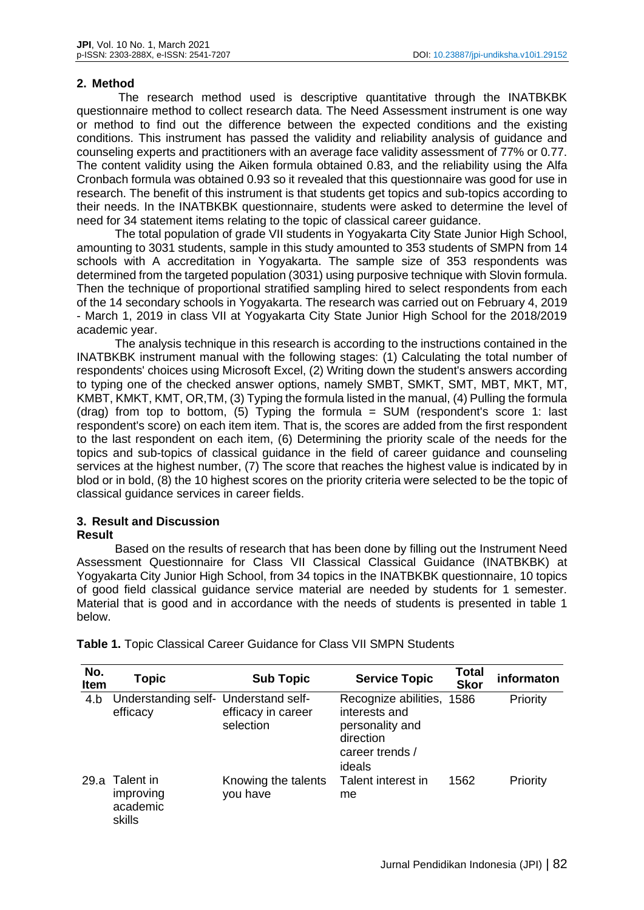## **2. Method**

The research method used is descriptive quantitative through the INATBKBK questionnaire method to collect research data. The Need Assessment instrument is one way or method to find out the difference between the expected conditions and the existing conditions. This instrument has passed the validity and reliability analysis of guidance and counseling experts and practitioners with an average face validity assessment of 77% or 0.77. The content validity using the Aiken formula obtained 0.83, and the reliability using the Alfa Cronbach formula was obtained 0.93 so it revealed that this questionnaire was good for use in research. The benefit of this instrument is that students get topics and sub-topics according to their needs. In the INATBKBK questionnaire, students were asked to determine the level of need for 34 statement items relating to the topic of classical career guidance.

The total population of grade VII students in Yogyakarta City State Junior High School, amounting to 3031 students, sample in this study amounted to 353 students of SMPN from 14 schools with A accreditation in Yogyakarta. The sample size of 353 respondents was determined from the targeted population (3031) using purposive technique with Slovin formula. Then the technique of proportional stratified sampling hired to select respondents from each of the 14 secondary schools in Yogyakarta. The research was carried out on February 4, 2019 - March 1, 2019 in class VII at Yogyakarta City State Junior High School for the 2018/2019 academic year.

The analysis technique in this research is according to the instructions contained in the INATBKBK instrument manual with the following stages: (1) Calculating the total number of respondents' choices using Microsoft Excel, (2) Writing down the student's answers according to typing one of the checked answer options, namely SMBT, SMKT, SMT, MBT, MKT, MT, KMBT, KMKT, KMT, OR,TM, (3) Typing the formula listed in the manual, (4) Pulling the formula (drag) from top to bottom, (5) Typing the formula =  $SUM$  (respondent's score 1: last respondent's score) on each item item. That is, the scores are added from the first respondent to the last respondent on each item, (6) Determining the priority scale of the needs for the topics and sub-topics of classical guidance in the field of career guidance and counseling services at the highest number, (7) The score that reaches the highest value is indicated by in blod or in bold, (8) the 10 highest scores on the priority criteria were selected to be the topic of classical guidance services in career fields.

#### **3. Result and Discussion Result**

## Based on the results of research that has been done by filling out the Instrument Need Assessment Questionnaire for Class VII Classical Classical Guidance (INATBKBK) at Yogyakarta City Junior High School, from 34 topics in the INATBKBK questionnaire, 10 topics of good field classical guidance service material are needed by students for 1 semester. Material that is good and in accordance with the needs of students is presented in table 1 below.

| No.<br>Item | <b>Topic</b>                                     | <b>Sub Topic</b>                | <b>Service Topic</b>                                                                                    | <b>Total</b><br><b>Skor</b> | informaton |
|-------------|--------------------------------------------------|---------------------------------|---------------------------------------------------------------------------------------------------------|-----------------------------|------------|
| 4.b         | Understanding self- Understand self-<br>efficacy | efficacy in career<br>selection | Recognize abilities, 1586<br>interests and<br>personality and<br>direction<br>career trends /<br>ideals |                             | Priority   |
| 29.a        | Talent in<br>improving<br>academic<br>skills     | Knowing the talents<br>you have | Talent interest in<br>me                                                                                | 1562                        | Priority   |

**Table 1.** Topic Classical Career Guidance for Class VII SMPN Students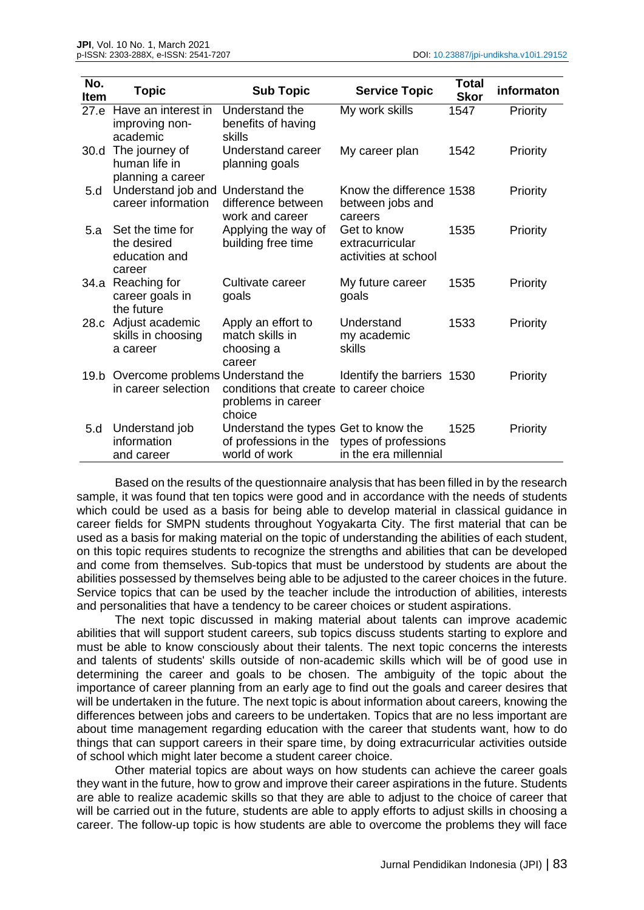| No.<br>Item | <b>Topic</b>                                                 | <b>Sub Topic</b>                                                               | <b>Service Topic</b>                                    | <b>Total</b><br><b>Skor</b> | informaton |
|-------------|--------------------------------------------------------------|--------------------------------------------------------------------------------|---------------------------------------------------------|-----------------------------|------------|
| 27.e        | Have an interest in<br>improving non-<br>academic            | Understand the<br>benefits of having<br>skills                                 | My work skills                                          | 1547                        | Priority   |
| 30.d        | The journey of<br>human life in<br>planning a career         | Understand career<br>planning goals                                            | My career plan                                          | 1542                        | Priority   |
| 5.d         | Understand job and<br>career information                     | Understand the<br>difference between<br>work and career                        | Know the difference 1538<br>between jobs and<br>careers |                             | Priority   |
| 5.a         | Set the time for<br>the desired<br>education and<br>career   | Applying the way of<br>building free time                                      | Get to know<br>extracurricular<br>activities at school  | 1535                        | Priority   |
|             | 34.a Reaching for<br>career goals in<br>the future           | Cultivate career<br>goals                                                      | My future career<br>goals                               | 1535                        | Priority   |
|             | 28.c Adjust academic<br>skills in choosing<br>a career       | Apply an effort to<br>match skills in<br>choosing a<br>career                  | Understand<br>my academic<br>skills                     | 1533                        | Priority   |
|             | 19.b Overcome problems Understand the<br>in career selection | conditions that create to career choice<br>problems in career<br>choice        | Identify the barriers 1530                              |                             | Priority   |
| 5.d         | Understand job<br>information<br>and career                  | Understand the types Get to know the<br>of professions in the<br>world of work | types of professions<br>in the era millennial           | 1525                        | Priority   |

Based on the results of the questionnaire analysis that has been filled in by the research sample, it was found that ten topics were good and in accordance with the needs of students which could be used as a basis for being able to develop material in classical guidance in career fields for SMPN students throughout Yogyakarta City. The first material that can be used as a basis for making material on the topic of understanding the abilities of each student, on this topic requires students to recognize the strengths and abilities that can be developed and come from themselves. Sub-topics that must be understood by students are about the abilities possessed by themselves being able to be adjusted to the career choices in the future. Service topics that can be used by the teacher include the introduction of abilities, interests and personalities that have a tendency to be career choices or student aspirations.

The next topic discussed in making material about talents can improve academic abilities that will support student careers, sub topics discuss students starting to explore and must be able to know consciously about their talents. The next topic concerns the interests and talents of students' skills outside of non-academic skills which will be of good use in determining the career and goals to be chosen. The ambiguity of the topic about the importance of career planning from an early age to find out the goals and career desires that will be undertaken in the future. The next topic is about information about careers, knowing the differences between jobs and careers to be undertaken. Topics that are no less important are about time management regarding education with the career that students want, how to do things that can support careers in their spare time, by doing extracurricular activities outside of school which might later become a student career choice.

Other material topics are about ways on how students can achieve the career goals they want in the future, how to grow and improve their career aspirations in the future. Students are able to realize academic skills so that they are able to adjust to the choice of career that will be carried out in the future, students are able to apply efforts to adjust skills in choosing a career. The follow-up topic is how students are able to overcome the problems they will face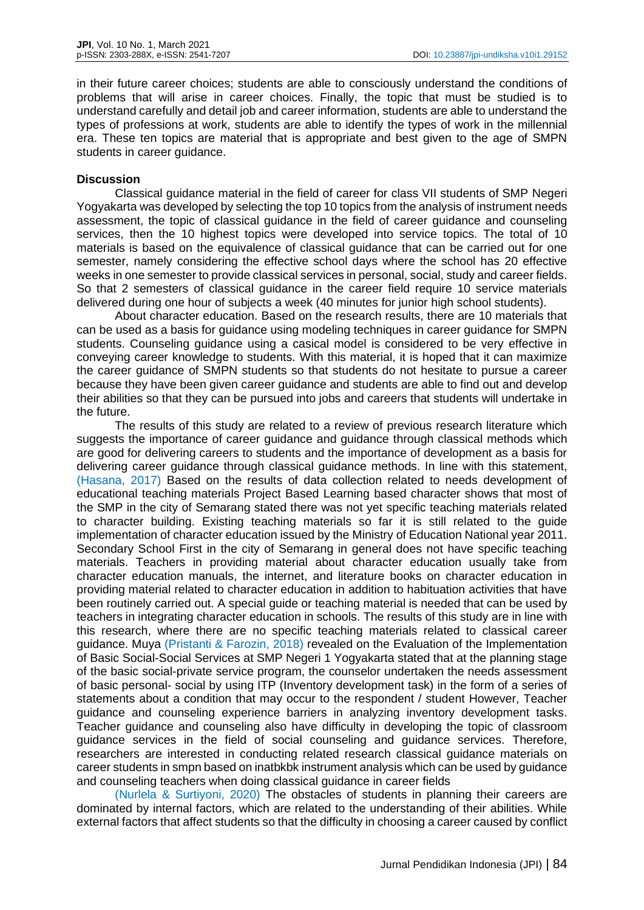in their future career choices; students are able to consciously understand the conditions of problems that will arise in career choices. Finally, the topic that must be studied is to understand carefully and detail job and career information, students are able to understand the types of professions at work, students are able to identify the types of work in the millennial era. These ten topics are material that is appropriate and best given to the age of SMPN students in career guidance.

## **Discussion**

Classical guidance material in the field of career for class VII students of SMP Negeri Yogyakarta was developed by selecting the top 10 topics from the analysis of instrument needs assessment, the topic of classical guidance in the field of career guidance and counseling services, then the 10 highest topics were developed into service topics. The total of 10 materials is based on the equivalence of classical guidance that can be carried out for one semester, namely considering the effective school days where the school has 20 effective weeks in one semester to provide classical services in personal, social, study and career fields. So that 2 semesters of classical guidance in the career field require 10 service materials delivered during one hour of subjects a week (40 minutes for junior high school students).

About character education. Based on the research results, there are 10 materials that can be used as a basis for guidance using modeling techniques in career guidance for SMPN students. Counseling guidance using a casical model is considered to be very effective in conveying career knowledge to students. With this material, it is hoped that it can maximize the career guidance of SMPN students so that students do not hesitate to pursue a career because they have been given career guidance and students are able to find out and develop their abilities so that they can be pursued into jobs and careers that students will undertake in the future.

The results of this study are related to a review of previous research literature which suggests the importance of career guidance and guidance through classical methods which are good for delivering careers to students and the importance of development as a basis for delivering career guidance through classical guidance methods. In line with this statement, (Hasana, 2017) Based on the results of data collection related to needs development of educational teaching materials Project Based Learning based character shows that most of the SMP in the city of Semarang stated there was not yet specific teaching materials related to character building. Existing teaching materials so far it is still related to the guide implementation of character education issued by the Ministry of Education National year 2011. Secondary School First in the city of Semarang in general does not have specific teaching materials. Teachers in providing material about character education usually take from character education manuals, the internet, and literature books on character education in providing material related to character education in addition to habituation activities that have been routinely carried out. A special guide or teaching material is needed that can be used by teachers in integrating character education in schools. The results of this study are in line with this research, where there are no specific teaching materials related to classical career guidance. Muya (Pristanti & Farozin, 2018) revealed on the Evaluation of the Implementation of Basic Social-Social Services at SMP Negeri 1 Yogyakarta stated that at the planning stage of the basic social-private service program, the counselor undertaken the needs assessment of basic personal- social by using ITP (Inventory development task) in the form of a series of statements about a condition that may occur to the respondent / student However, Teacher guidance and counseling experience barriers in analyzing inventory development tasks. Teacher guidance and counseling also have difficulty in developing the topic of classroom guidance services in the field of social counseling and guidance services. Therefore, researchers are interested in conducting related research classical guidance materials on career students in smpn based on inatbkbk instrument analysis which can be used by guidance and counseling teachers when doing classical guidance in career fields

(Nurlela & Surtiyoni, 2020) The obstacles of students in planning their careers are dominated by internal factors, which are related to the understanding of their abilities. While external factors that affect students so that the difficulty in choosing a career caused by conflict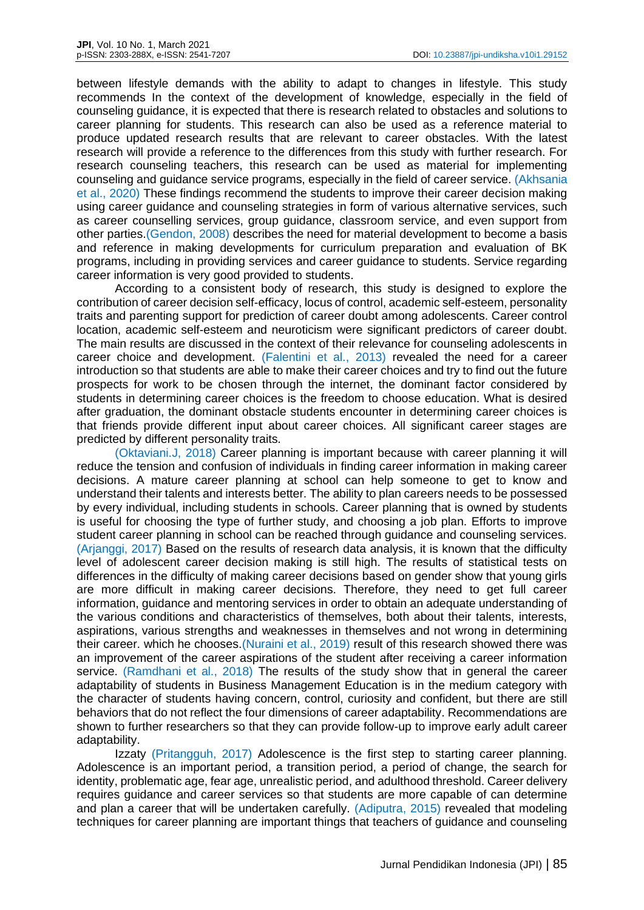between lifestyle demands with the ability to adapt to changes in lifestyle. This study recommends In the context of the development of knowledge, especially in the field of counseling guidance, it is expected that there is research related to obstacles and solutions to career planning for students. This research can also be used as a reference material to produce updated research results that are relevant to career obstacles. With the latest research will provide a reference to the differences from this study with further research. For research counseling teachers, this research can be used as material for implementing counseling and guidance service programs, especially in the field of career service. (Akhsania et al., 2020) These findings recommend the students to improve their career decision making using career guidance and counseling strategies in form of various alternative services, such as career counselling services, group guidance, classroom service, and even support from other parties.(Gendon, 2008) describes the need for material development to become a basis and reference in making developments for curriculum preparation and evaluation of BK programs, including in providing services and career guidance to students. Service regarding career information is very good provided to students.

According to a consistent body of research, this study is designed to explore the contribution of career decision self-efficacy, locus of control, academic self-esteem, personality traits and parenting support for prediction of career doubt among adolescents. Career control location, academic self-esteem and neuroticism were significant predictors of career doubt. The main results are discussed in the context of their relevance for counseling adolescents in career choice and development. (Falentini et al., 2013) revealed the need for a career introduction so that students are able to make their career choices and try to find out the future prospects for work to be chosen through the internet, the dominant factor considered by students in determining career choices is the freedom to choose education. What is desired after graduation, the dominant obstacle students encounter in determining career choices is that friends provide different input about career choices. All significant career stages are predicted by different personality traits.

(Oktaviani.J, 2018) Career planning is important because with career planning it will reduce the tension and confusion of individuals in finding career information in making career decisions. A mature career planning at school can help someone to get to know and understand their talents and interests better. The ability to plan careers needs to be possessed by every individual, including students in schools. Career planning that is owned by students is useful for choosing the type of further study, and choosing a job plan. Efforts to improve student career planning in school can be reached through guidance and counseling services. (Arjanggi, 2017) Based on the results of research data analysis, it is known that the difficulty level of adolescent career decision making is still high. The results of statistical tests on differences in the difficulty of making career decisions based on gender show that young girls are more difficult in making career decisions. Therefore, they need to get full career information, guidance and mentoring services in order to obtain an adequate understanding of the various conditions and characteristics of themselves, both about their talents, interests, aspirations, various strengths and weaknesses in themselves and not wrong in determining their career. which he chooses.(Nuraini et al., 2019) result of this research showed there was an improvement of the career aspirations of the student after receiving a career information service. (Ramdhani et al., 2018) The results of the study show that in general the career adaptability of students in Business Management Education is in the medium category with the character of students having concern, control, curiosity and confident, but there are still behaviors that do not reflect the four dimensions of career adaptability. Recommendations are shown to further researchers so that they can provide follow-up to improve early adult career adaptability.

Izzaty (Pritangguh, 2017) Adolescence is the first step to starting career planning. Adolescence is an important period, a transition period, a period of change, the search for identity, problematic age, fear age, unrealistic period, and adulthood threshold. Career delivery requires guidance and career services so that students are more capable of can determine and plan a career that will be undertaken carefully. (Adiputra, 2015) revealed that modeling techniques for career planning are important things that teachers of guidance and counseling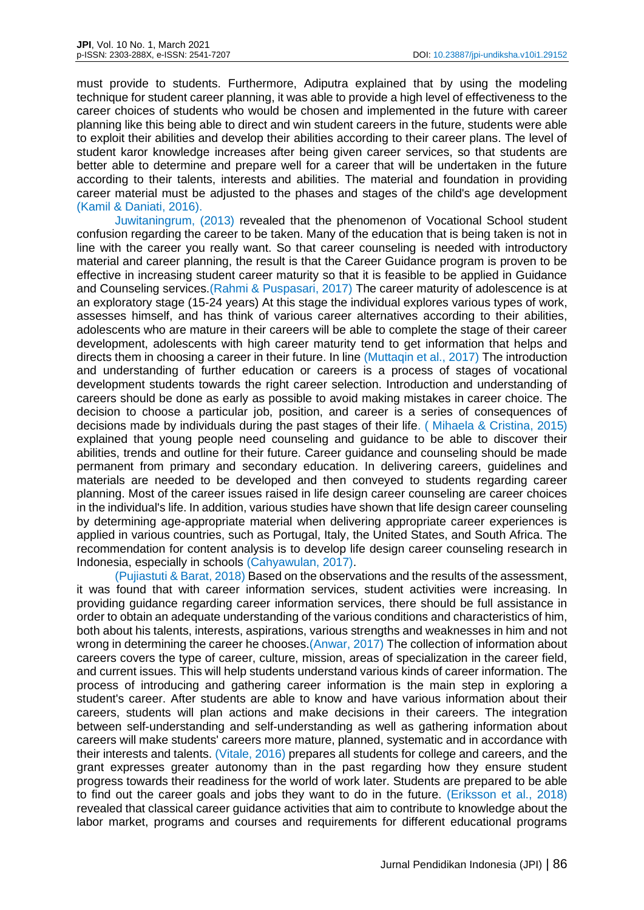must provide to students. Furthermore, Adiputra explained that by using the modeling technique for student career planning, it was able to provide a high level of effectiveness to the career choices of students who would be chosen and implemented in the future with career planning like this being able to direct and win student careers in the future, students were able to exploit their abilities and develop their abilities according to their career plans. The level of student karor knowledge increases after being given career services, so that students are better able to determine and prepare well for a career that will be undertaken in the future according to their talents, interests and abilities. The material and foundation in providing career material must be adjusted to the phases and stages of the child's age development (Kamil & Daniati, 2016).

Juwitaningrum, (2013) revealed that the phenomenon of Vocational School student confusion regarding the career to be taken. Many of the education that is being taken is not in line with the career you really want. So that career counseling is needed with introductory material and career planning, the result is that the Career Guidance program is proven to be effective in increasing student career maturity so that it is feasible to be applied in Guidance and Counseling services.(Rahmi & Puspasari, 2017) The career maturity of adolescence is at an exploratory stage (15-24 years) At this stage the individual explores various types of work, assesses himself, and has think of various career alternatives according to their abilities, adolescents who are mature in their careers will be able to complete the stage of their career development, adolescents with high career maturity tend to get information that helps and directs them in choosing a career in their future. In line (Muttaqin et al., 2017) The introduction and understanding of further education or careers is a process of stages of vocational development students towards the right career selection. Introduction and understanding of careers should be done as early as possible to avoid making mistakes in career choice. The decision to choose a particular job, position, and career is a series of consequences of decisions made by individuals during the past stages of their life. ( Mihaela & Cristina, 2015) explained that young people need counseling and guidance to be able to discover their abilities, trends and outline for their future. Career guidance and counseling should be made permanent from primary and secondary education. In delivering careers, guidelines and materials are needed to be developed and then conveyed to students regarding career planning. Most of the career issues raised in life design career counseling are career choices in the individual's life. In addition, various studies have shown that life design career counseling by determining age-appropriate material when delivering appropriate career experiences is applied in various countries, such as Portugal, Italy, the United States, and South Africa. The recommendation for content analysis is to develop life design career counseling research in Indonesia, especially in schools (Cahyawulan, 2017).

(Pujiastuti & Barat, 2018) Based on the observations and the results of the assessment, it was found that with career information services, student activities were increasing. In providing guidance regarding career information services, there should be full assistance in order to obtain an adequate understanding of the various conditions and characteristics of him, both about his talents, interests, aspirations, various strengths and weaknesses in him and not wrong in determining the career he chooses (Anwar, 2017) The collection of information about careers covers the type of career, culture, mission, areas of specialization in the career field, and current issues. This will help students understand various kinds of career information. The process of introducing and gathering career information is the main step in exploring a student's career. After students are able to know and have various information about their careers, students will plan actions and make decisions in their careers. The integration between self-understanding and self-understanding as well as gathering information about careers will make students' careers more mature, planned, systematic and in accordance with their interests and talents. (Vitale, 2016) prepares all students for college and careers, and the grant expresses greater autonomy than in the past regarding how they ensure student progress towards their readiness for the world of work later. Students are prepared to be able to find out the career goals and jobs they want to do in the future. (Eriksson et al., 2018) revealed that classical career guidance activities that aim to contribute to knowledge about the labor market, programs and courses and requirements for different educational programs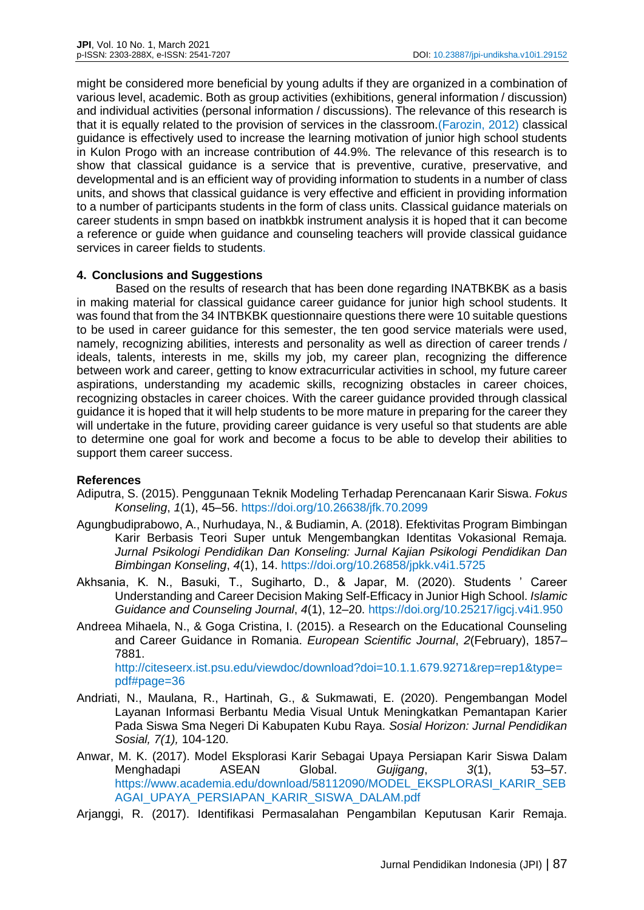might be considered more beneficial by young adults if they are organized in a combination of various level, academic. Both as group activities (exhibitions, general information / discussion) and individual activities (personal information / discussions). The relevance of this research is that it is equally related to the provision of services in the classroom.(Farozin, 2012) classical guidance is effectively used to increase the learning motivation of junior high school students in Kulon Progo with an increase contribution of 44.9%. The relevance of this research is to show that classical guidance is a service that is preventive, curative, preservative, and developmental and is an efficient way of providing information to students in a number of class units, and shows that classical guidance is very effective and efficient in providing information to a number of participants students in the form of class units. Classical guidance materials on career students in smpn based on inatbkbk instrument analysis it is hoped that it can become a reference or guide when guidance and counseling teachers will provide classical guidance services in career fields to students.

# **4. Conclusions and Suggestions**

Based on the results of research that has been done regarding INATBKBK as a basis in making material for classical guidance career guidance for junior high school students. It was found that from the 34 INTBKBK questionnaire questions there were 10 suitable questions to be used in career guidance for this semester, the ten good service materials were used, namely, recognizing abilities, interests and personality as well as direction of career trends / ideals, talents, interests in me, skills my job, my career plan, recognizing the difference between work and career, getting to know extracurricular activities in school, my future career aspirations, understanding my academic skills, recognizing obstacles in career choices, recognizing obstacles in career choices. With the career guidance provided through classical guidance it is hoped that it will help students to be more mature in preparing for the career they will undertake in the future, providing career guidance is very useful so that students are able to determine one goal for work and become a focus to be able to develop their abilities to support them career success.

## **References**

- Adiputra, S. (2015). Penggunaan Teknik Modeling Terhadap Perencanaan Karir Siswa. *Fokus Konseling*, *1*(1), 45–56. https://doi.org/10.26638/jfk.70.2099
- Agungbudiprabowo, A., Nurhudaya, N., & Budiamin, A. (2018). Efektivitas Program Bimbingan Karir Berbasis Teori Super untuk Mengembangkan Identitas Vokasional Remaja. *Jurnal Psikologi Pendidikan Dan Konseling: Jurnal Kajian Psikologi Pendidikan Dan Bimbingan Konseling*, *4*(1), 14. https://doi.org/10.26858/jpkk.v4i1.5725
- Akhsania, K. N., Basuki, T., Sugiharto, D., & Japar, M. (2020). Students ' Career Understanding and Career Decision Making Self-Efficacy in Junior High School. *Islamic Guidance and Counseling Journal*, *4*(1), 12–20. https://doi.org/10.25217/igcj.v4i1.950
- Andreea Mihaela, N., & Goga Cristina, I. (2015). a Research on the Educational Counseling and Career Guidance in Romania. *European Scientific Journal*, *2*(February), 1857– 7881.

http://citeseerx.ist.psu.edu/viewdoc/download?doi=10.1.1.679.9271&rep=rep1&type= pdf#page=36

- Andriati, N., Maulana, R., Hartinah, G., & Sukmawati, E. (2020). Pengembangan Model Layanan Informasi Berbantu Media Visual Untuk Meningkatkan Pemantapan Karier Pada Siswa Sma Negeri Di Kabupaten Kubu Raya. *Sosial Horizon: Jurnal Pendidikan Sosial, 7(1),* 104-120.
- Anwar, M. K. (2017). Model Eksplorasi Karir Sebagai Upaya Persiapan Karir Siswa Dalam Menghadapi ASEAN Global. *Gujigang*, *3*(1), 53–57. https://www.academia.edu/download/58112090/MODEL\_EKSPLORASI\_KARIR\_SEB AGAI\_UPAYA\_PERSIAPAN\_KARIR\_SISWA\_DALAM.pdf
- Arjanggi, R. (2017). Identifikasi Permasalahan Pengambilan Keputusan Karir Remaja.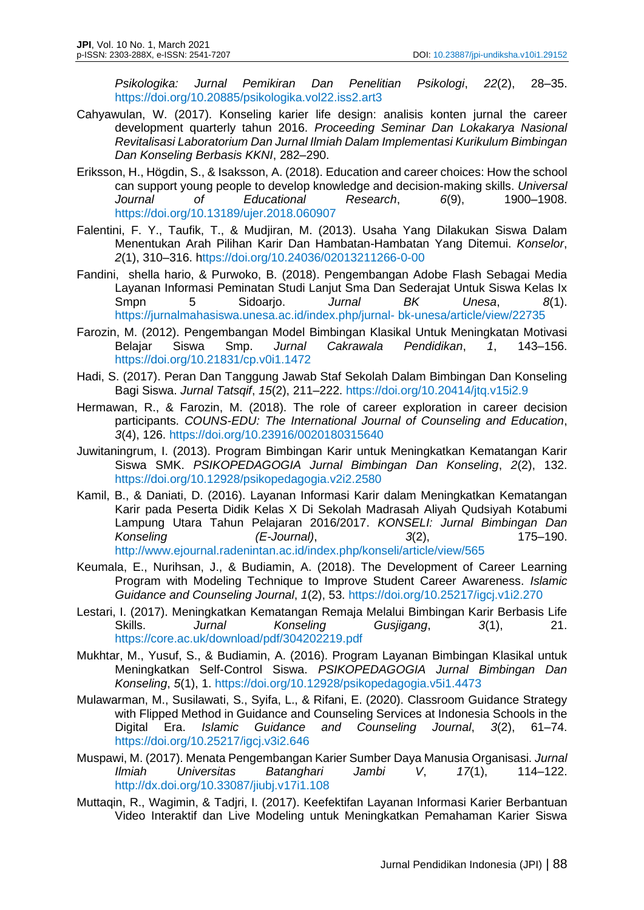*Psikologika: Jurnal Pemikiran Dan Penelitian Psikologi*, *22*(2), 28–35. https://doi.org/10.20885/psikologika.vol22.iss2.art3

- Cahyawulan, W. (2017). Konseling karier life design: analisis konten jurnal the career development quarterly tahun 2016. *Proceeding Seminar Dan Lokakarya Nasional Revitalisasi Laboratorium Dan Jurnal Ilmiah Dalam Implementasi Kurikulum Bimbingan Dan Konseling Berbasis KKNI*, 282–290.
- Eriksson, H., Högdin, S., & Isaksson, A. (2018). Education and career choices: How the school can support young people to develop knowledge and decision-making skills. *Universal Journal of Educational Research*, *6*(9), 1900–1908. https://doi.org/10.13189/ujer.2018.060907
- Falentini, F. Y., Taufik, T., & Mudjiran, M. (2013). Usaha Yang Dilakukan Siswa Dalam Menentukan Arah Pilihan Karir Dan Hambatan-Hambatan Yang Ditemui. *Konselor*, *2*(1), 310–316. https://doi.org/10.24036/02013211266-0-00
- Fandini, shella hario, & Purwoko, B. (2018). Pengembangan Adobe Flash Sebagai Media Layanan Informasi Peminatan Studi Lanjut Sma Dan Sederajat Untuk Siswa Kelas Ix Smpn 5 Sidoarjo. *Jurnal BK Unesa*, *8*(1). https://jurnalmahasiswa.unesa.ac.id/index.php/jurnal- bk-unesa/article/view/22735
- Farozin, M. (2012). Pengembangan Model Bimbingan Klasikal Untuk Meningkatan Motivasi Belajar Siswa Smp. *Jurnal Cakrawala Pendidikan*, *1*, 143–156. https://doi.org/10.21831/cp.v0i1.1472
- Hadi, S. (2017). Peran Dan Tanggung Jawab Staf Sekolah Dalam Bimbingan Dan Konseling Bagi Siswa. *Jurnal Tatsqif*, *15*(2), 211–222. https://doi.org/10.20414/jtq.v15i2.9
- Hermawan, R., & Farozin, M. (2018). The role of career exploration in career decision participants. *COUNS-EDU: The International Journal of Counseling and Education*, *3*(4), 126. https://doi.org/10.23916/0020180315640
- Juwitaningrum, I. (2013). Program Bimbingan Karir untuk Meningkatkan Kematangan Karir Siswa SMK. *PSIKOPEDAGOGIA Jurnal Bimbingan Dan Konseling*, *2*(2), 132. https://doi.org/10.12928/psikopedagogia.v2i2.2580
- Kamil, B., & Daniati, D. (2016). Layanan Informasi Karir dalam Meningkatkan Kematangan Karir pada Peserta Didik Kelas X Di Sekolah Madrasah Aliyah Qudsiyah Kotabumi Lampung Utara Tahun Pelajaran 2016/2017. *KONSELI: Jurnal Bimbingan Dan Konseling (E-Journal)*, *3*(2), 175–190. http://www.ejournal.radenintan.ac.id/index.php/konseli/article/view/565
- Keumala, E., Nurihsan, J., & Budiamin, A. (2018). The Development of Career Learning Program with Modeling Technique to Improve Student Career Awareness. *Islamic Guidance and Counseling Journal*, *1*(2), 53. https://doi.org/10.25217/igcj.v1i2.270
- Lestari, I. (2017). Meningkatkan Kematangan Remaja Melalui Bimbingan Karir Berbasis Life Skills. *Jurnal Konseling Gusjigang*, *3*(1), 21. https://core.ac.uk/download/pdf/304202219.pdf
- Mukhtar, M., Yusuf, S., & Budiamin, A. (2016). Program Layanan Bimbingan Klasikal untuk Meningkatkan Self-Control Siswa. *PSIKOPEDAGOGIA Jurnal Bimbingan Dan Konseling*, *5*(1), 1. https://doi.org/10.12928/psikopedagogia.v5i1.4473
- Mulawarman, M., Susilawati, S., Syifa, L., & Rifani, E. (2020). Classroom Guidance Strategy with Flipped Method in Guidance and Counseling Services at Indonesia Schools in the Digital Era. *Islamic Guidance and Counseling Journal*, *3*(2), 61–74. https://doi.org/10.25217/igcj.v3i2.646
- Muspawi, M. (2017). Menata Pengembangan Karier Sumber Daya Manusia Organisasi. *Jurnal Ilmiah Universitas Batanghari Jambi V*, *17*(1), 114–122. http://dx.doi.org/10.33087/jiubj.v17i1.108
- Muttaqin, R., Wagimin, & Tadjri, I. (2017). Keefektifan Layanan Informasi Karier Berbantuan Video Interaktif dan Live Modeling untuk Meningkatkan Pemahaman Karier Siswa